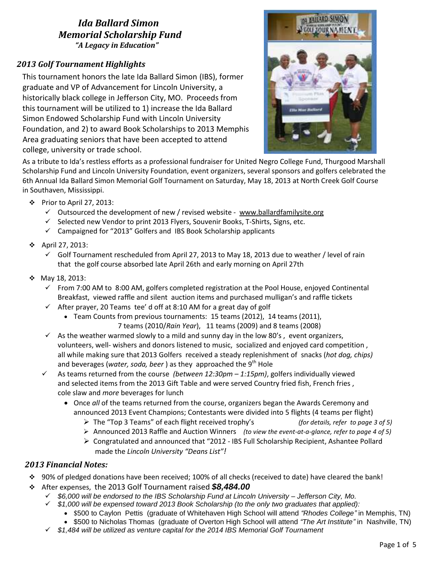### *Ida Ballard Simon Memorial Scholarship Fund "A Legacy in Education"*

## *2013 Golf Tournament Highlights*

 college, university or trade school. This tournament honors the late Ida Ballard Simon (IBS), former graduate and VP of Advancement for Lincoln University, a historically black college in Jefferson City, MO. Proceeds from this tournament will be utilized to 1) increase the Ida Ballard Simon Endowed Scholarship Fund with Lincoln University Foundation, and 2) to award Book Scholarships to 2013 Memphis Area graduating seniors that have been accepted to attend



As a tribute to Ida's restless efforts as a professional fundraiser for United Negro College Fund, Thurgood Marshall Scholarship Fund and Lincoln University Foundation, event organizers, several sponsors and golfers celebrated the 6th Annual Ida Ballard Simon Memorial Golf Tournament on Saturday, May 18, 2013 at North Creek Golf Course in Southaven, Mississippi.

- $\div$  Prior to April 27, 2013:
	- $\checkmark$  Outsourced the development of new / revised website [www.ballardfamilysite.org](http://www.ballardfamilysite.org/)
	- $\checkmark$  Selected new Vendor to print 2013 Flyers, Souvenir Books, T-Shirts, Signs, etc.
	- $\checkmark$  Campaigned for "2013" Golfers and IBS Book Scholarship applicants
- April 27, 2013:
	- $\checkmark$  Golf Tournament rescheduled from April 27, 2013 to May 18, 2013 due to weather / level of rain that the golf course absorbed late April 26th and early morning on April 27th
- May 18, 2013:
	- $\checkmark$  From 7:00 AM to 8:00 AM, golfers completed registration at the Pool House, enjoyed Continental Breakfast, viewed raffle and silent auction items and purchased mulligan's and raffle tickets
	- $\checkmark$  After prayer, 20 Teams tee' d off at 8:10 AM for a great day of golf
		- Team Counts from previous tournaments: 15 teams (2012), 14 teams (2011),
			- 7 teams (2010/*Rain Year*), 11 teams (2009) and 8 teams (2008)
	- $\checkmark$  As the weather warmed slowly to a mild and sunny day in the low 80's, event organizers, volunteers, well- wishers and donors listened to music, socialized and enjoyed card competition , all while making sure that 2013 Golfers received a steady replenishment of snacks (*hot dog, chips)* and beverages (*water, soda, beer*) as they approached the 9<sup>th</sup> Hole
	- As teams returned from the course *(between 12:30pm – 1:15pm)*, golfers individually viewed and selected items from the 2013 Gift Table and were served Country fried fish, French fries , cole slaw and *more* beverages for lunch
		- Once *all* of the teams returned from the course, organizers began the Awards Ceremony and announced 2013 Event Champions; Contestants were divided into 5 flights (4 teams per flight)
			- The "Top 3 Teams" of each flight received trophy's *(for details, refer to page 3 of 5)*
			- Announced 2013 Raffle and Auction Winners *(to view the event-at-a-glance, refer to page 4 of 5)*
			- $\triangleright$  Congratulated and announced that "2012 IBS Full Scholarship Recipient, Ashantee Pollard made the *Lincoln University "Deans List"!*

#### *2013 Financial Notes:*

- 90% of pledged donations have been received; 100% of all checks (received to date) have cleared the bank!
- After expenses, the 2013 Golf Tournament raised *\$8,484.00*
	- *\$6,000 will be endorsed to the IBS Scholarship Fund at Lincoln University – Jefferson City, Mo.*
	- *\$1,000 will be expensed toward 2013 Book Scholarship (to the only two graduates that applied):*
		- \$500 to Caylon Pettis (graduate of Whitehaven High School will attend *"Rhodes College"* in Memphis, TN)
		- \$500 to Nicholas Thomas (graduate of Overton High School will attend *"The Art Institute"* in Nashville, TN)
	- *\$1,484 will be utilized as venture capital for the 2014 IBS Memorial Golf Tournament*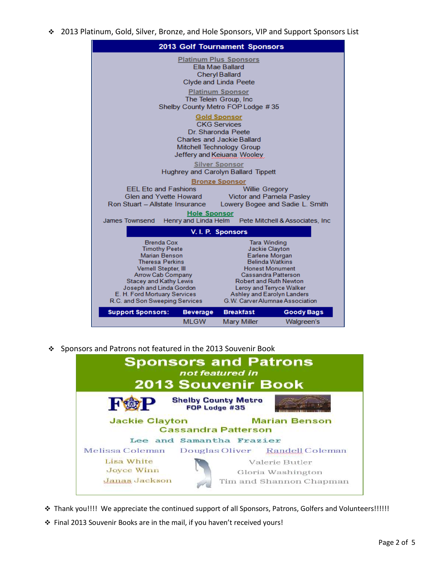2013 Platinum, Gold, Silver, Bronze, and Hole Sponsors, VIP and Support Sponsors List



Sponsors and Patrons not featured in the 2013 Souvenir Book



- \* Thank you!!!! We appreciate the continued support of all Sponsors, Patrons, Golfers and Volunteers!!!!!!
- $\cdot$  Final 2013 Souvenir Books are in the mail, if you haven't received yours!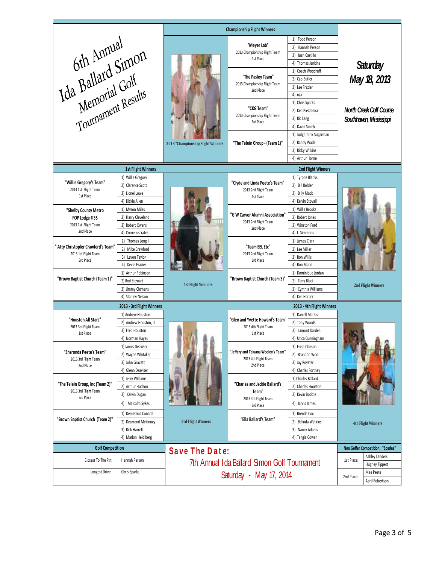| 6th Annual<br>Ida Ballard Simon<br>Memorial Golf<br>Tournament Results                                   |                                            | <b>Championship Flight Winners</b>           |                                                                                                      |                                      |                                  |                 |  |
|----------------------------------------------------------------------------------------------------------|--------------------------------------------|----------------------------------------------|------------------------------------------------------------------------------------------------------|--------------------------------------|----------------------------------|-----------------|--|
|                                                                                                          |                                            |                                              |                                                                                                      | 1) Tood Person                       |                                  |                 |  |
|                                                                                                          |                                            | 2013 "Championship Flight Winners            | "Meyer Lab"<br>2013 Championship Flight Team<br>1st Place                                            | 2) Hannah Person                     |                                  |                 |  |
|                                                                                                          |                                            |                                              |                                                                                                      | 3) Juan Castillo                     |                                  |                 |  |
|                                                                                                          |                                            |                                              |                                                                                                      | 4) Thomas Jenkins                    |                                  | <b>Saturday</b> |  |
|                                                                                                          |                                            |                                              | "The Pasley Team"<br>2013 Championship Flight Team<br>2nd Place                                      | 1) Coach Woodruff                    | May 18, 2013                     |                 |  |
|                                                                                                          |                                            |                                              |                                                                                                      | 2) Cap Butler                        |                                  |                 |  |
|                                                                                                          |                                            |                                              |                                                                                                      | 3) Lee Frazier                       |                                  |                 |  |
|                                                                                                          |                                            |                                              |                                                                                                      | 4) $n/a$                             |                                  |                 |  |
|                                                                                                          |                                            |                                              | "CKG Team"<br>2013 Championship Flight Team<br>3rd Place                                             | 1) Chris Sparks                      |                                  |                 |  |
|                                                                                                          |                                            |                                              |                                                                                                      | 2) Ken Pieczonka                     | North Creek Colf Course          |                 |  |
|                                                                                                          |                                            |                                              |                                                                                                      | 3) Ric Lang                          | Southhaven, Mississippi          |                 |  |
|                                                                                                          |                                            |                                              |                                                                                                      | 4) David Smith                       |                                  |                 |  |
|                                                                                                          |                                            |                                              | "The Telein Group - (Team 1)"                                                                        | 1) Judge Tarik Sugarman              |                                  |                 |  |
|                                                                                                          |                                            |                                              |                                                                                                      | 2) Randy Wade                        |                                  |                 |  |
|                                                                                                          |                                            |                                              |                                                                                                      | 3) Ricky Wilkins                     |                                  |                 |  |
|                                                                                                          |                                            |                                              |                                                                                                      | 4) Arthur Horne                      |                                  |                 |  |
| <b>1st Flight Winners</b>                                                                                |                                            |                                              |                                                                                                      | 2nd Flight Winners                   |                                  |                 |  |
| "Willie Gregory's Team"<br>2013 1st Flight Team                                                          | 1) Willie Gregory                          |                                              | "Clyde and Linda Peete's Team"<br>2013 2nd Flight Team<br>1st Place                                  | 1) Tyrone Blanks                     |                                  |                 |  |
|                                                                                                          | 2) Clarence Scott                          |                                              |                                                                                                      | 2) Bill Bolden                       |                                  |                 |  |
| 1st Place                                                                                                | 3) Lionel Lowe                             |                                              |                                                                                                      | 3) Billy Mack                        |                                  |                 |  |
|                                                                                                          | 4) Dickie Allen                            |                                              |                                                                                                      | 4) Kelvin Stovall                    |                                  |                 |  |
| "Shelby County Metro                                                                                     | 1) Myron Miles                             |                                              | "G W Carver Alumni Association"<br>2013 2nd Flight Team<br>2nd Place                                 | 1) Willie Brooks                     | 2nd Flight Winners               |                 |  |
| FOP Lodge #35<br>2013 1st Flight Team                                                                    | 2) Harry Cleveland<br>3) Robert Owens      |                                              |                                                                                                      | 2) Robert Jones<br>3) Winston Ford   |                                  |                 |  |
| 2nd Place                                                                                                | 4) Cornelius Yates                         |                                              |                                                                                                      | 4) L. Simmons                        |                                  |                 |  |
| " Atty Christopler Crawford's Team"<br>2013 1st Flight Team<br>3rd Place                                 | 1) Thomas Long II                          | <b>1st Flight Winners</b>                    | "Team EEL Etc"<br>2013 2nd Flight Team<br>3rd Place<br>"Brown Baptist Church (Team 3)"               | 1) James Clark                       |                                  |                 |  |
|                                                                                                          | 2) Mike Crawford                           |                                              |                                                                                                      | 2) Lee Miller                        |                                  |                 |  |
|                                                                                                          | 3) Levon Taylor                            |                                              |                                                                                                      | 3) Ron Willis                        |                                  |                 |  |
|                                                                                                          | 4) Kevin Frazier                           |                                              |                                                                                                      | 4) Ron Mann                          |                                  |                 |  |
| "Brown Baptist Church (Team 1)"                                                                          | 1) Arthur Robinson                         |                                              |                                                                                                      | 1) Dominique Jordan                  |                                  |                 |  |
|                                                                                                          | 2) Rod Stewart                             |                                              |                                                                                                      | 2) Tony Black                        |                                  |                 |  |
|                                                                                                          | 3) Jimmy Clemens                           |                                              |                                                                                                      | 3) Cynthia Williams                  |                                  |                 |  |
| 4) Stanley Nelson                                                                                        |                                            |                                              |                                                                                                      | 4) Ken Harper                        |                                  |                 |  |
|                                                                                                          | 2013 - 3rd Flight Winners                  |                                              |                                                                                                      | 2013 - 4th Flight Winners            |                                  |                 |  |
| "Houston All Stars"<br>2013 3rd Flight Team<br>1st Place                                                 | 1) Andrew Houston                          | 3rd Flight Winners                           | "Glen and Yvette Howard's Team"<br>2013 4th Flight Team<br>1st Place                                 | 1) Darrell Mathis                    | <b>4th Flight Winners</b>        |                 |  |
|                                                                                                          | 2) Andrew Houston. III                     |                                              |                                                                                                      | 2) Tony Woods                        |                                  |                 |  |
|                                                                                                          | 3) Fred Houston                            |                                              |                                                                                                      | 3) Lamont Darden                     |                                  |                 |  |
|                                                                                                          | 4) Norman Hayes                            |                                              |                                                                                                      | 4) Utica Cunningham                  |                                  |                 |  |
| "Sharonda Peete's Team"<br>2013 3rd Flight Team<br>2nd Place                                             | 1) James Deaviser                          |                                              | "Jeffery and Teiuana Wooley's Team"<br>2013 4th Flight Team<br>2nd Place                             | 1) Fred Johnson                      |                                  |                 |  |
|                                                                                                          | 2) Wayne Whitaker<br>3) John Gravatt       |                                              |                                                                                                      | 2) Brandon Woo                       |                                  |                 |  |
|                                                                                                          | 4) Glenn Deaviser                          |                                              |                                                                                                      | 3) Jay Royster<br>4) Charles Fortney |                                  |                 |  |
|                                                                                                          | 1) Jerry Williams                          |                                              |                                                                                                      | 1) Charles Ballard                   |                                  |                 |  |
| "The Telein Group, Inc (Team 2)"<br>2013 3rd Flight Team<br>3rd Place<br>"Brown Baptist Church (Team 2)" | 2) Arthur Hudson                           |                                              | "Charles and Jackie Ballard's<br>Team"<br>2013 4th Flight Team<br>3rd Place<br>"Ella Ballard's Team" | 2) Charles Houston                   |                                  |                 |  |
|                                                                                                          | 3) Kelvin Dugan                            |                                              |                                                                                                      | 3) Kevin Boddie                      |                                  |                 |  |
|                                                                                                          | 4) Malcolm Sykes                           |                                              |                                                                                                      | 4) Jarvis James                      |                                  |                 |  |
|                                                                                                          |                                            |                                              |                                                                                                      | 1) Brenda Cox                        |                                  |                 |  |
|                                                                                                          | 1) Demetrius Conard<br>2) Desmond McKinney |                                              |                                                                                                      | 2) Belinda Watkins                   |                                  |                 |  |
|                                                                                                          | 3) Rick Harrell                            |                                              |                                                                                                      | 3) Nancy Adams                       |                                  |                 |  |
|                                                                                                          | 4) Marlon Heidiberg                        |                                              |                                                                                                      | 4) Tangia Cowan                      |                                  |                 |  |
| <b>Golf Competition</b>                                                                                  |                                            |                                              |                                                                                                      |                                      | Non Golfer Competition: "Spades" |                 |  |
|                                                                                                          |                                            | <b>Save The Date:</b>                        |                                                                                                      |                                      |                                  | Ashley Landers  |  |
| Closest To The Pin:                                                                                      | Hannah Person                              | 7th Annual Ida Ballard Simon Golf Tournament | 1st Place:                                                                                           |                                      | Hughey Tippett                   |                 |  |
| Longest Drive:                                                                                           | Chris Sparks                               | Saturday - May 17, 2014                      |                                                                                                      |                                      |                                  | Mae Peete       |  |
|                                                                                                          |                                            |                                              |                                                                                                      |                                      | 2nd Place:                       | April Robertson |  |
|                                                                                                          |                                            |                                              |                                                                                                      |                                      |                                  |                 |  |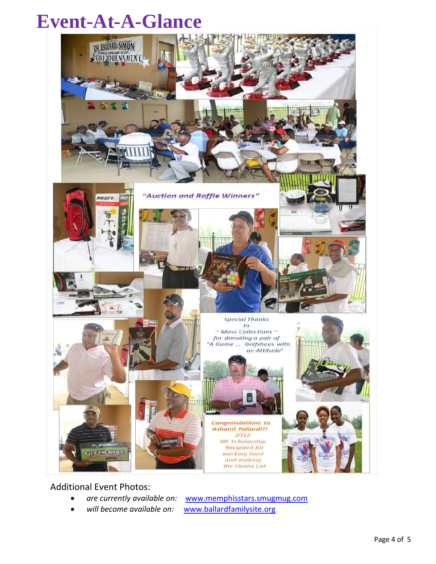# **Event-At-A-Glance**



Additional Event Photos:

*are currently available on:* [www.memphisstars.smugmug.com](http://www.memphisstars.smugmug.com/)

*will become available on:* [www.ballardfamilysite.org](file:///C:/Documents%20and%20Settings/323499/Desktop/www.ballardfamilysite.org)